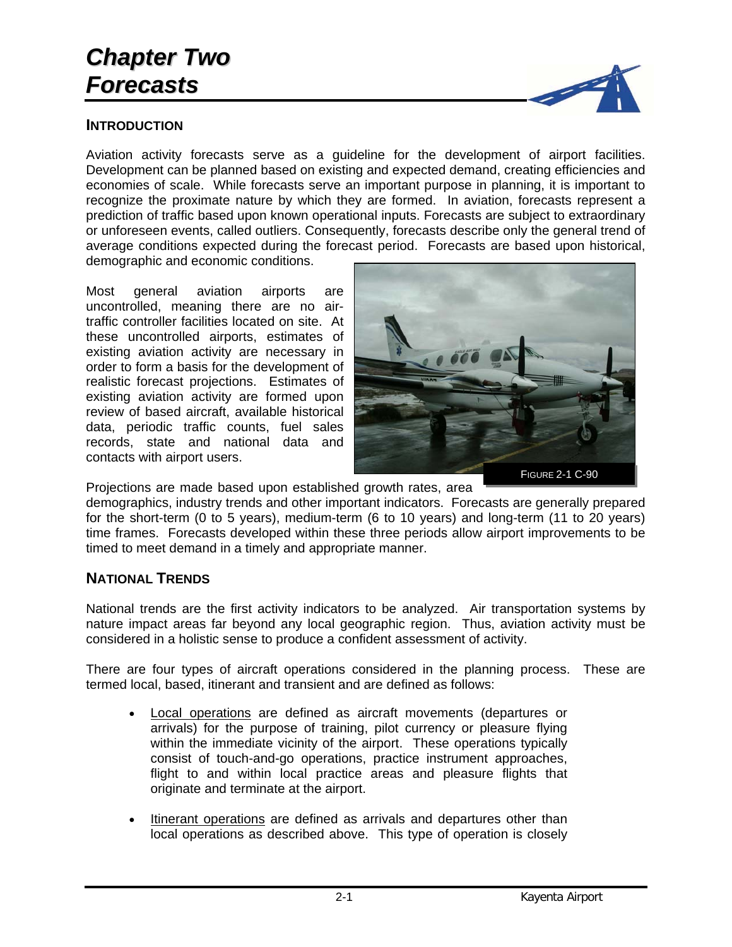# *Chapter Two Forecasts*

#### **INTRODUCTION**



Most general aviation airports are uncontrolled, meaning there are no airtraffic controller facilities located on site. At these uncontrolled airports, estimates of existing aviation activity are necessary in order to form a basis for the development of realistic forecast projections. Estimates of existing aviation activity are formed upon review of based aircraft, available historical data, periodic traffic counts, fuel sales records, state and national data and contacts with airport users.



Projections are made based upon established growth rates, area

timed to meet demand in a timely and appropriate manner.

demographics, industry trends and other important indicators. Forecasts are generally prepared for the short-term (0 to 5 years), medium-term (6 to 10 years) and long-term (11 to 20 years) time frames. Forecasts developed within these three periods allow airport improvements to be

## **NATIONAL TRENDS**

National trends are the first activity indicators to be analyzed. Air transportation systems by nature impact areas far beyond any local geographic region. Thus, aviation activity must be considered in a holistic sense to produce a confident assessment of activity.

There are four types of aircraft operations considered in the planning process. These are termed local, based, itinerant and transient and are defined as follows:

- Local operations are defined as aircraft movements (departures or arrivals) for the purpose of training, pilot currency or pleasure flying within the immediate vicinity of the airport. These operations typically consist of touch-and-go operations, practice instrument approaches, flight to and within local practice areas and pleasure flights that originate and terminate at the airport.
- Itinerant operations are defined as arrivals and departures other than local operations as described above. This type of operation is closely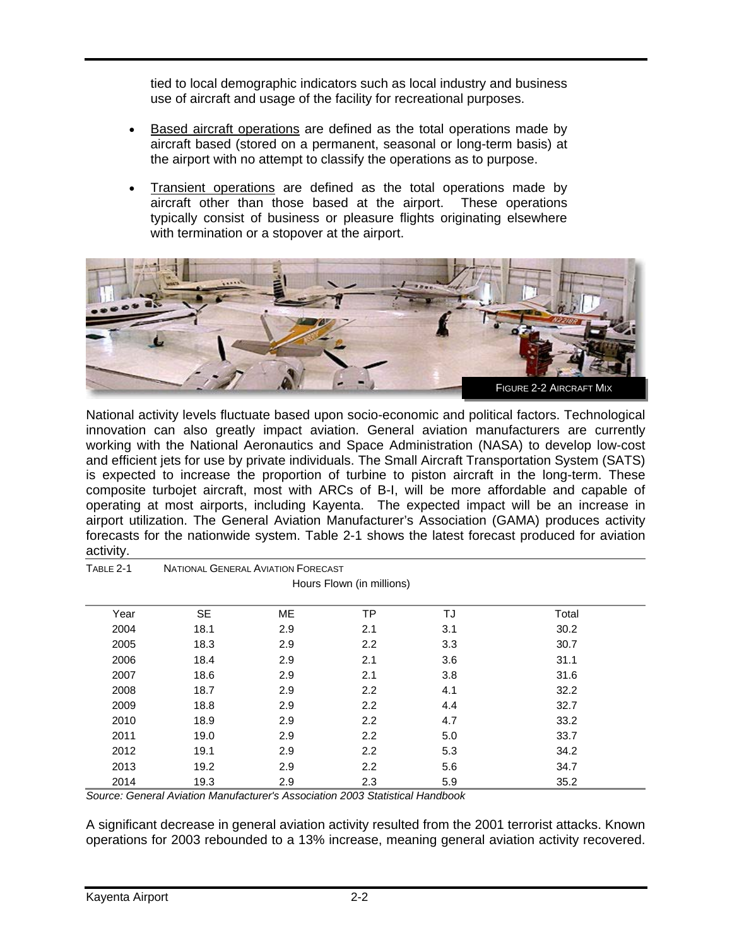tied to local demographic indicators such as local industry and business use of aircraft and usage of the facility for recreational purposes.

- Based aircraft operations are defined as the total operations made by aircraft based (stored on a permanent, seasonal or long-term basis) at the airport with no attempt to classify the operations as to purpose.
- Transient operations are defined as the total operations made by aircraft other than those based at the airport. These operations typically consist of business or pleasure flights originating elsewhere with termination or a stopover at the airport.



National activity levels fluctuate based upon socio-economic and political factors. Technological innovation can also greatly impact aviation. General aviation manufacturers are currently working with the National Aeronautics and Space Administration (NASA) to develop low-cost and efficient jets for use by private individuals. The Small Aircraft Transportation System (SATS) is expected to increase the proportion of turbine to piston aircraft in the long-term. These composite turbojet aircraft, most with ARCs of B-I, will be more affordable and capable of operating at most airports, including Kayenta. The expected impact will be an increase in airport utilization. The General Aviation Manufacturer's Association (GAMA) produces activity forecasts for the nationwide system. Table 2-1 shows the latest forecast produced for aviation activity.

| TABLE 2-1 | <b>NATIONAL GENERAL AVIATION FORECAST</b> |           |                           |     |       |
|-----------|-------------------------------------------|-----------|---------------------------|-----|-------|
|           |                                           |           | Hours Flown (in millions) |     |       |
| Year      | <b>SE</b>                                 | <b>ME</b> | TP                        | TJ  | Total |
| 2004      | 18.1                                      | 2.9       | 2.1                       | 3.1 | 30.2  |
| 2005      | 18.3                                      | 2.9       | 2.2                       | 3.3 | 30.7  |
| 2006      | 18.4                                      | 2.9       | 2.1                       | 3.6 | 31.1  |
| 2007      | 18.6                                      | 2.9       | 2.1                       | 3.8 | 31.6  |
| 2008      | 18.7                                      | 2.9       | 2.2                       | 4.1 | 32.2  |
| 2009      | 18.8                                      | 2.9       | 2.2                       | 4.4 | 32.7  |
| 2010      | 18.9                                      | 2.9       | 2.2                       | 4.7 | 33.2  |
| 2011      | 19.0                                      | 2.9       | 2.2                       | 5.0 | 33.7  |
| 2012      | 19.1                                      | 2.9       | 2.2                       | 5.3 | 34.2  |
| 2013      | 19.2                                      | 2.9       | 2.2                       | 5.6 | 34.7  |
| 2014      | 19.3                                      | 2.9       | 2.3                       | 5.9 | 35.2  |

*Source: General Aviation Manufacturer's Association 2003 Statistical Handbook* 

A significant decrease in general aviation activity resulted from the 2001 terrorist attacks. Known operations for 2003 rebounded to a 13% increase, meaning general aviation activity recovered.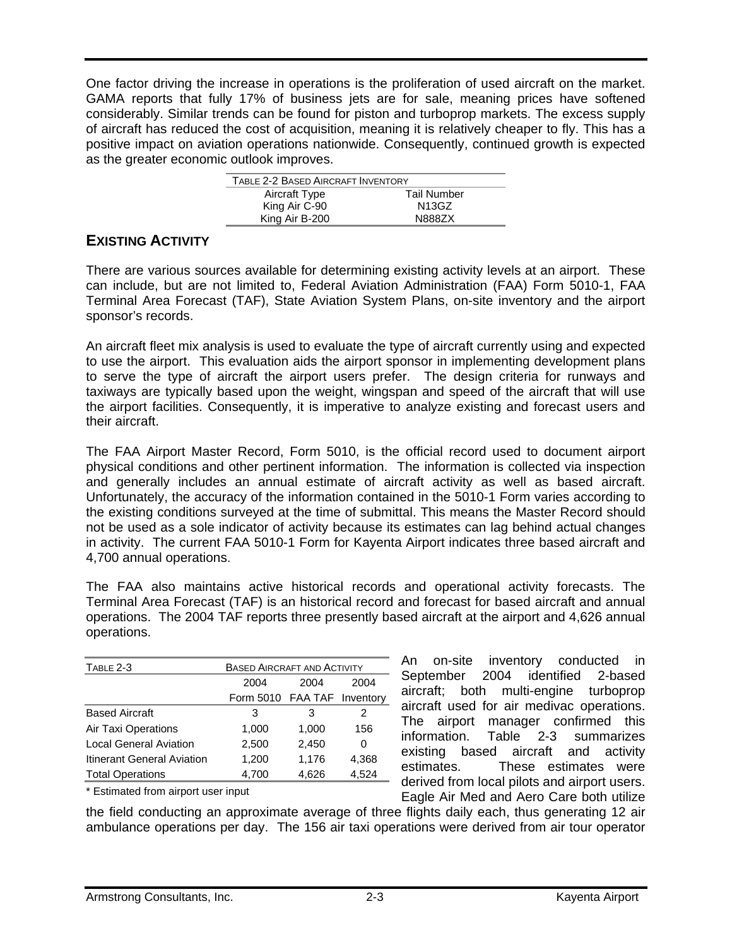One factor driving the increase in operations is the proliferation of used aircraft on the market. GAMA reports that fully 17% of business jets are for sale, meaning prices have softened considerably. Similar trends can be found for piston and turboprop markets. The excess supply of aircraft has reduced the cost of acquisition, meaning it is relatively cheaper to fly. This has a positive impact on aviation operations nationwide. Consequently, continued growth is expected as the greater economic outlook improves.

| TABLE 2-2 BASED AIRCRAFT INVENTORY |                    |
|------------------------------------|--------------------|
| Aircraft Type                      | <b>Tail Number</b> |
| King Air C-90                      | N13GZ              |
| King Air B-200                     | N8887X             |

## **EXISTING ACTIVITY**

There are various sources available for determining existing activity levels at an airport. These can include, but are not limited to, Federal Aviation Administration (FAA) Form 5010-1, FAA Terminal Area Forecast (TAF), State Aviation System Plans, on-site inventory and the airport sponsor's records.

An aircraft fleet mix analysis is used to evaluate the type of aircraft currently using and expected to use the airport. This evaluation aids the airport sponsor in implementing development plans to serve the type of aircraft the airport users prefer. The design criteria for runways and taxiways are typically based upon the weight, wingspan and speed of the aircraft that will use the airport facilities. Consequently, it is imperative to analyze existing and forecast users and their aircraft.

The FAA Airport Master Record, Form 5010, is the official record used to document airport physical conditions and other pertinent information. The information is collected via inspection and generally includes an annual estimate of aircraft activity as well as based aircraft. Unfortunately, the accuracy of the information contained in the 5010-1 Form varies according to the existing conditions surveyed at the time of submittal. This means the Master Record should not be used as a sole indicator of activity because its estimates can lag behind actual changes in activity. The current FAA 5010-1 Form for Kayenta Airport indicates three based aircraft and 4,700 annual operations.

The FAA also maintains active historical records and operational activity forecasts. The Terminal Area Forecast (TAF) is an historical record and forecast for based aircraft and annual operations. The 2004 TAF reports three presently based aircraft at the airport and 4,626 annual operations.

| TABLE 2-3                     | <b>BASED AIRCRAFT AND ACTIVITY</b> |       |       |
|-------------------------------|------------------------------------|-------|-------|
|                               | 2004                               | 2004  | 2004  |
|                               | Form 5010 FAA TAF Inventory        |       |       |
| <b>Based Aircraft</b>         | 3                                  | 3     | 2     |
| Air Taxi Operations           | 1,000                              | 1,000 | 156   |
| <b>Local General Aviation</b> | 2,500                              | 2,450 | 0     |
| Itinerant General Aviation    | 1,200                              | 1,176 | 4,368 |
| <b>Total Operations</b>       | 4,700                              | 4,626 | 4,524 |

\* Estimated from airport user input

An on-site inventory conducted in September 2004 identified 2-based aircraft; both multi-engine turboprop aircraft used for air medivac operations. The airport manager confirmed this information. Table 2-3 summarizes existing based aircraft and activity estimates. These estimates were derived from local pilots and airport users. Eagle Air Med and Aero Care both utilize

the field conducting an approximate average of three flights daily each, thus generating 12 air ambulance operations per day. The 156 air taxi operations were derived from air tour operator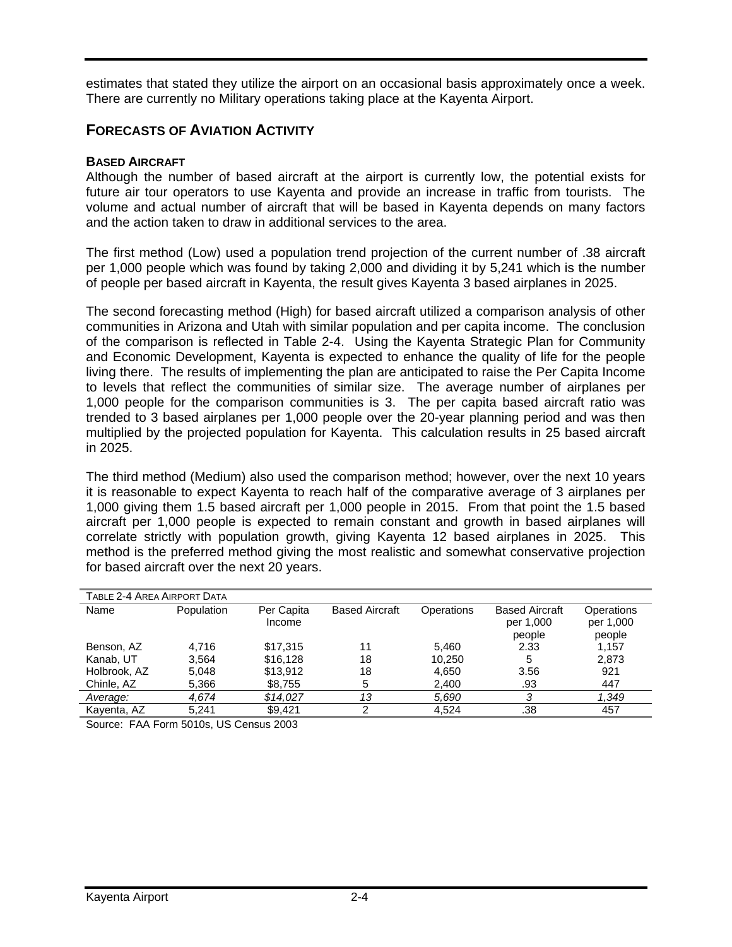estimates that stated they utilize the airport on an occasional basis approximately once a week. There are currently no Military operations taking place at the Kayenta Airport.

## **FORECASTS OF AVIATION ACTIVITY**

#### **BASED AIRCRAFT**

Although the number of based aircraft at the airport is currently low, the potential exists for future air tour operators to use Kayenta and provide an increase in traffic from tourists. The volume and actual number of aircraft that will be based in Kayenta depends on many factors and the action taken to draw in additional services to the area.

The first method (Low) used a population trend projection of the current number of .38 aircraft per 1,000 people which was found by taking 2,000 and dividing it by 5,241 which is the number of people per based aircraft in Kayenta, the result gives Kayenta 3 based airplanes in 2025.

The second forecasting method (High) for based aircraft utilized a comparison analysis of other communities in Arizona and Utah with similar population and per capita income. The conclusion of the comparison is reflected in Table 2-4. Using the Kayenta Strategic Plan for Community and Economic Development, Kayenta is expected to enhance the quality of life for the people living there. The results of implementing the plan are anticipated to raise the Per Capita Income to levels that reflect the communities of similar size. The average number of airplanes per 1,000 people for the comparison communities is 3. The per capita based aircraft ratio was trended to 3 based airplanes per 1,000 people over the 20-year planning period and was then multiplied by the projected population for Kayenta. This calculation results in 25 based aircraft in 2025.

The third method (Medium) also used the comparison method; however, over the next 10 years it is reasonable to expect Kayenta to reach half of the comparative average of 3 airplanes per 1,000 giving them 1.5 based aircraft per 1,000 people in 2015. From that point the 1.5 based aircraft per 1,000 people is expected to remain constant and growth in based airplanes will correlate strictly with population growth, giving Kayenta 12 based airplanes in 2025. This method is the preferred method giving the most realistic and somewhat conservative projection for based aircraft over the next 20 years.

|              | TABLE 2-4 AREA AIRPORT DATA |                      |                       |            |                                              |                                   |  |  |  |  |
|--------------|-----------------------------|----------------------|-----------------------|------------|----------------------------------------------|-----------------------------------|--|--|--|--|
| Name         | Population                  | Per Capita<br>Income | <b>Based Aircraft</b> | Operations | <b>Based Aircraft</b><br>per 1,000<br>people | Operations<br>per 1,000<br>people |  |  |  |  |
| Benson, AZ   | 4.716                       | \$17,315             | 11                    | 5.460      | 2.33                                         | 1,157                             |  |  |  |  |
| Kanab, UT    | 3.564                       | \$16.128             | 18                    | 10.250     | 5                                            | 2.873                             |  |  |  |  |
| Holbrook, AZ | 5.048                       | \$13,912             | 18                    | 4.650      | 3.56                                         | 921                               |  |  |  |  |
| Chinle, AZ   | 5,366                       | \$8,755              | 5                     | 2,400      | .93                                          | 447                               |  |  |  |  |
| Average:     | 4.674                       | \$14.027             | 13                    | 5,690      | 3                                            | 1,349                             |  |  |  |  |
| Kayenta, AZ  | 5.241                       | \$9.421              | っ                     | 4.524      | .38                                          | 457                               |  |  |  |  |
| _ _          | -- - - - - - -              |                      |                       |            |                                              |                                   |  |  |  |  |

Source: FAA Form 5010s, US Census 2003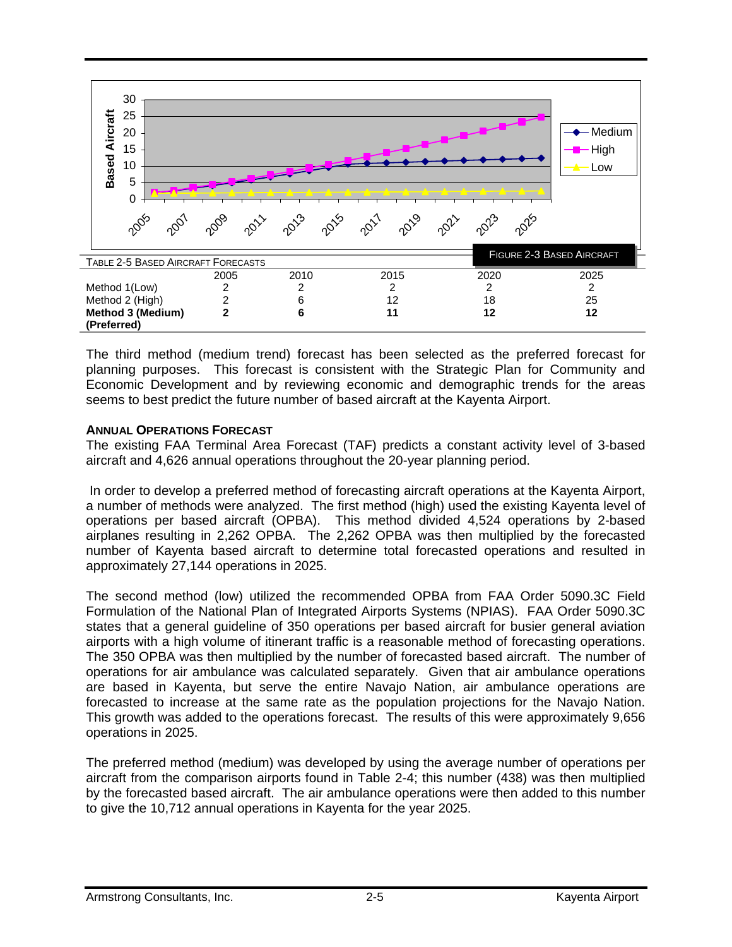

The third method (medium trend) forecast has been selected as the preferred forecast for planning purposes. This forecast is consistent with the Strategic Plan for Community and Economic Development and by reviewing economic and demographic trends for the areas seems to best predict the future number of based aircraft at the Kayenta Airport.

#### **ANNUAL OPERATIONS FORECAST**

The existing FAA Terminal Area Forecast (TAF) predicts a constant activity level of 3-based aircraft and 4,626 annual operations throughout the 20-year planning period.

 In order to develop a preferred method of forecasting aircraft operations at the Kayenta Airport, a number of methods were analyzed. The first method (high) used the existing Kayenta level of operations per based aircraft (OPBA). This method divided 4,524 operations by 2-based airplanes resulting in 2,262 OPBA. The 2,262 OPBA was then multiplied by the forecasted number of Kayenta based aircraft to determine total forecasted operations and resulted in approximately 27,144 operations in 2025.

The second method (low) utilized the recommended OPBA from FAA Order 5090.3C Field Formulation of the National Plan of Integrated Airports Systems (NPIAS). FAA Order 5090.3C states that a general guideline of 350 operations per based aircraft for busier general aviation airports with a high volume of itinerant traffic is a reasonable method of forecasting operations. The 350 OPBA was then multiplied by the number of forecasted based aircraft. The number of operations for air ambulance was calculated separately. Given that air ambulance operations are based in Kayenta, but serve the entire Navajo Nation, air ambulance operations are forecasted to increase at the same rate as the population projections for the Navajo Nation. This growth was added to the operations forecast. The results of this were approximately 9,656 operations in 2025.

The preferred method (medium) was developed by using the average number of operations per aircraft from the comparison airports found in Table 2-4; this number (438) was then multiplied by the forecasted based aircraft. The air ambulance operations were then added to this number to give the 10,712 annual operations in Kayenta for the year 2025.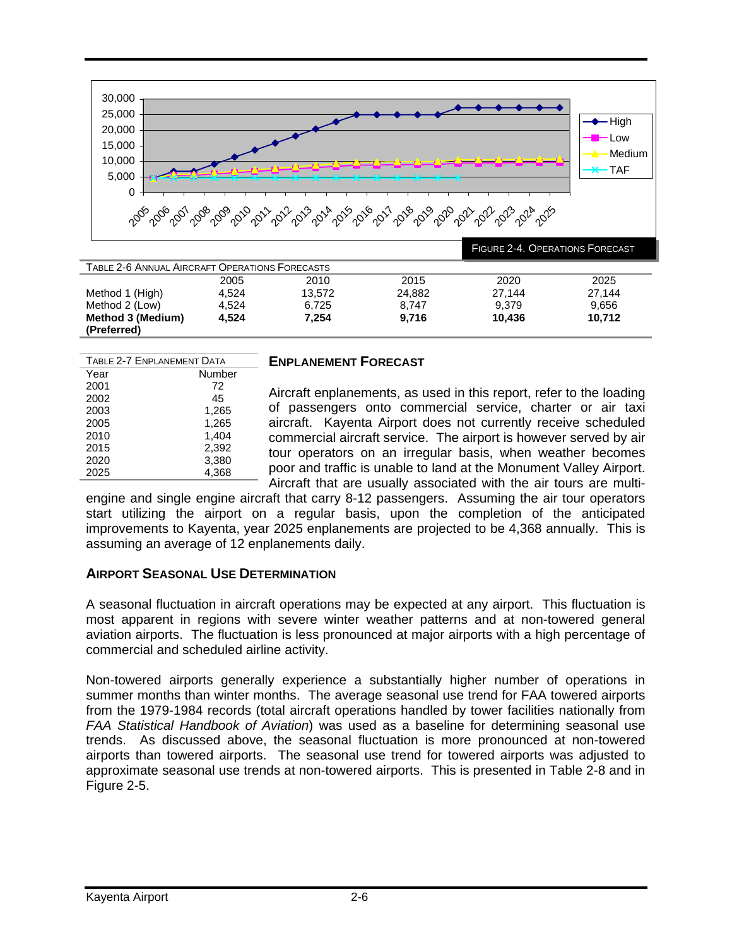

| TABLE 2-6 ANNUAL AIRCRAFT OPERATIONS FORECASTS |       |        |        |        |        |  |  |  |
|------------------------------------------------|-------|--------|--------|--------|--------|--|--|--|
|                                                | 2005  | 2010   | 2015   | 2020   | 2025   |  |  |  |
| Method 1 (High)                                | 4.524 | 13.572 | 24.882 | 27.144 | 27.144 |  |  |  |
| Method 2 (Low)                                 | 4.524 | 6.725  | 8.747  | 9.379  | 9,656  |  |  |  |
| Method 3 (Medium)                              | 4.524 | 7.254  | 9.716  | 10.436 | 10.712 |  |  |  |
| (Preferred)                                    |       |        |        |        |        |  |  |  |

| TABLE 2-7 ENPLANEMENT DATA |        |  |  |  |
|----------------------------|--------|--|--|--|
| Year                       | Number |  |  |  |
| 2001                       | 72     |  |  |  |
| 2002                       | 45     |  |  |  |
| 2003                       | 1,265  |  |  |  |
| 2005                       | 1,265  |  |  |  |
| 2010                       | 1,404  |  |  |  |
| 2015                       | 2,392  |  |  |  |
| 2020                       | 3,380  |  |  |  |
| 2025                       | 4.368  |  |  |  |

#### **ENPLANEMENT FORECAST**

Aircraft enplanements, as used in this report, refer to the loading of passengers onto commercial service, charter or air taxi aircraft. Kayenta Airport does not currently receive scheduled commercial aircraft service. The airport is however served by air tour operators on an irregular basis, when weather becomes poor and traffic is unable to land at the Monument Valley Airport. Aircraft that are usually associated with the air tours are multi-

engine and single engine aircraft that carry 8-12 passengers. Assuming the air tour operators start utilizing the airport on a regular basis, upon the completion of the anticipated improvements to Kayenta, year 2025 enplanements are projected to be 4,368 annually. This is assuming an average of 12 enplanements daily.

#### **AIRPORT SEASONAL USE DETERMINATION**

A seasonal fluctuation in aircraft operations may be expected at any airport. This fluctuation is most apparent in regions with severe winter weather patterns and at non-towered general aviation airports. The fluctuation is less pronounced at major airports with a high percentage of commercial and scheduled airline activity.

Non-towered airports generally experience a substantially higher number of operations in summer months than winter months. The average seasonal use trend for FAA towered airports from the 1979-1984 records (total aircraft operations handled by tower facilities nationally from *FAA Statistical Handbook of Aviation*) was used as a baseline for determining seasonal use trends. As discussed above, the seasonal fluctuation is more pronounced at non-towered airports than towered airports. The seasonal use trend for towered airports was adjusted to approximate seasonal use trends at non-towered airports. This is presented in Table 2-8 and in Figure 2-5.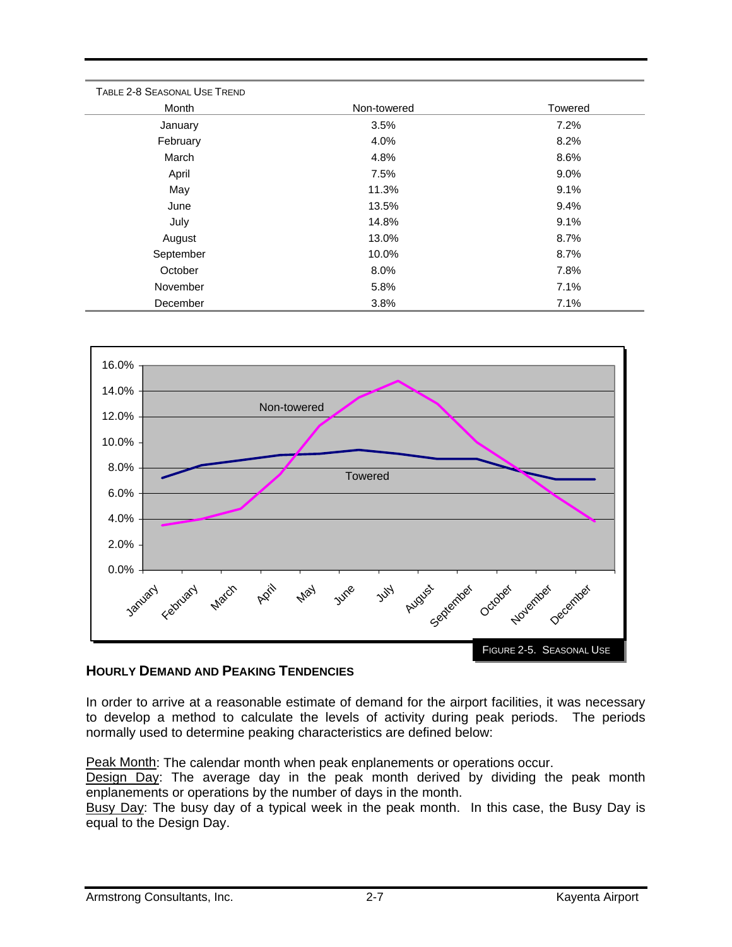| TABLE 2-8 SEASONAL USE TREND |             |         |
|------------------------------|-------------|---------|
| Month                        | Non-towered | Towered |
| January                      | 3.5%        | 7.2%    |
| February                     | 4.0%        | 8.2%    |
| March                        | 4.8%        | 8.6%    |
| April                        | 7.5%        | $9.0\%$ |
| May                          | 11.3%       | 9.1%    |
| June                         | 13.5%       | 9.4%    |
| July                         | 14.8%       | 9.1%    |
| August                       | 13.0%       | 8.7%    |
| September                    | 10.0%       | 8.7%    |
| October                      | 8.0%        | 7.8%    |
| November                     | 5.8%        | 7.1%    |
| December                     | 3.8%        | 7.1%    |



#### **HOURLY DEMAND AND PEAKING TENDENCIES**

In order to arrive at a reasonable estimate of demand for the airport facilities, it was necessary to develop a method to calculate the levels of activity during peak periods. The periods normally used to determine peaking characteristics are defined below:

Peak Month: The calendar month when peak enplanements or operations occur.

Design Day: The average day in the peak month derived by dividing the peak month enplanements or operations by the number of days in the month.

Busy Day: The busy day of a typical week in the peak month. In this case, the Busy Day is equal to the Design Day.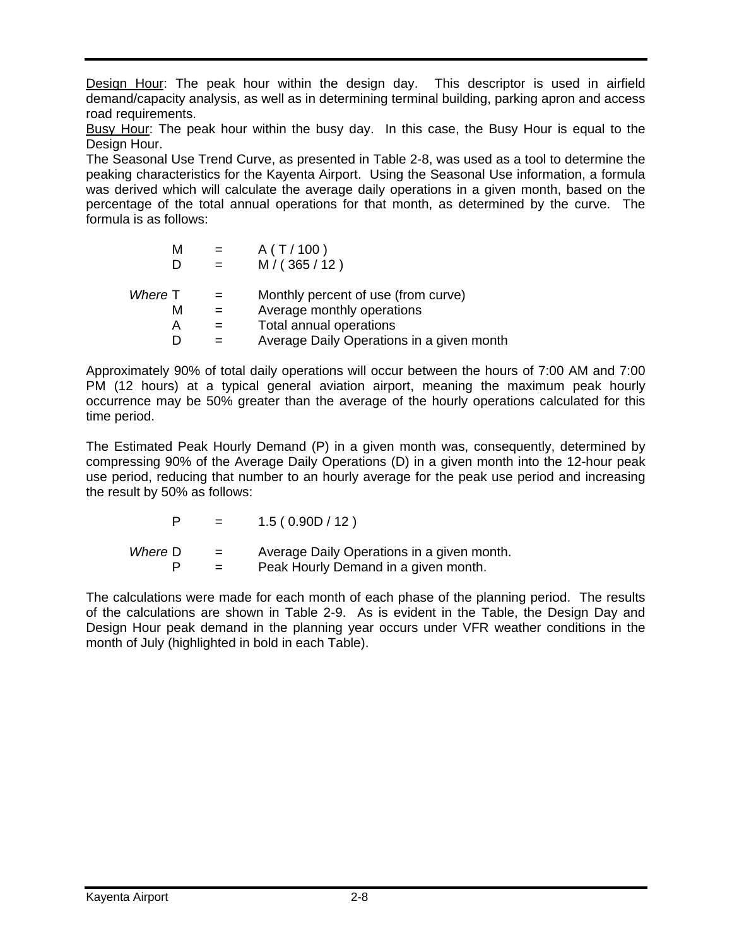Design Hour: The peak hour within the design day. This descriptor is used in airfield demand/capacity analysis, as well as in determining terminal building, parking apron and access road requirements.

Busy Hour: The peak hour within the busy day. In this case, the Busy Hour is equal to the Design Hour.

The Seasonal Use Trend Curve, as presented in Table 2-8, was used as a tool to determine the peaking characteristics for the Kayenta Airport. Using the Seasonal Use information, a formula was derived which will calculate the average daily operations in a given month, based on the percentage of the total annual operations for that month, as determined by the curve. The formula is as follows:

| м       |     | A(T/100)                                  |
|---------|-----|-------------------------------------------|
|         |     | M/(365/12)                                |
| Where T | $=$ | Monthly percent of use (from curve)       |
| м       |     | Average monthly operations                |
| А       |     | Total annual operations                   |
|         |     | Average Daily Operations in a given month |

Approximately 90% of total daily operations will occur between the hours of 7:00 AM and 7:00 PM (12 hours) at a typical general aviation airport, meaning the maximum peak hourly occurrence may be 50% greater than the average of the hourly operations calculated for this time period.

The Estimated Peak Hourly Demand (P) in a given month was, consequently, determined by compressing 90% of the Average Daily Operations (D) in a given month into the 12-hour peak use period, reducing that number to an hourly average for the peak use period and increasing the result by 50% as follows:

| P |  | 1.5(0.90D/12) |
|---|--|---------------|
|---|--|---------------|

*Where* D = Average Daily Operations in a given month.  $P =$  Peak Hourly Demand in a given month.

The calculations were made for each month of each phase of the planning period. The results of the calculations are shown in Table 2-9. As is evident in the Table, the Design Day and Design Hour peak demand in the planning year occurs under VFR weather conditions in the month of July (highlighted in bold in each Table).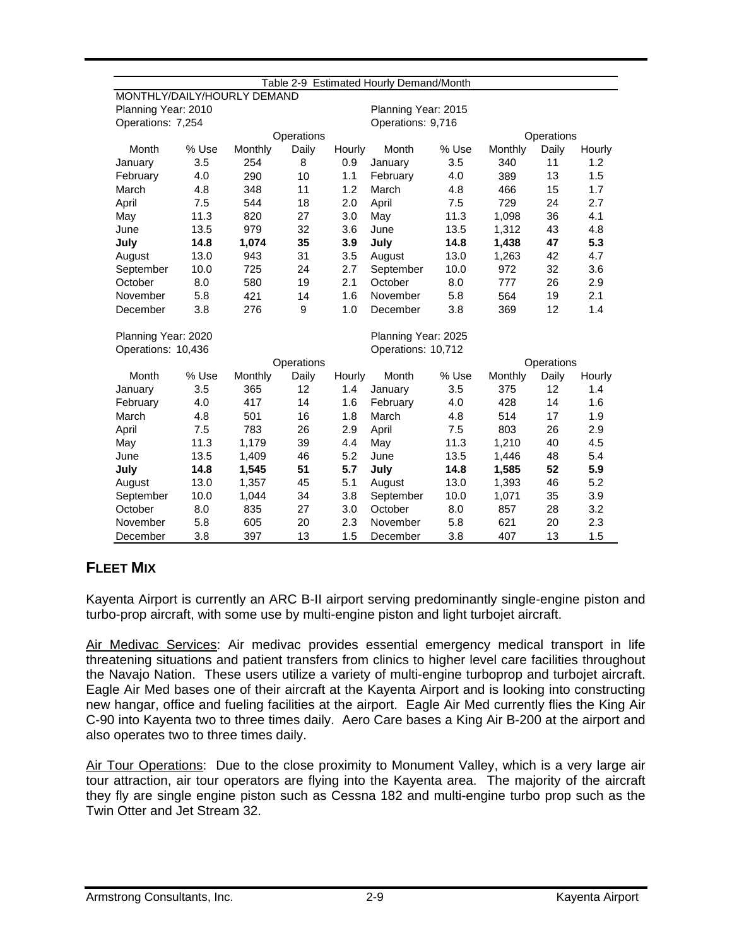|                             |       |         |            |                    | Table 2-9 Estimated Hourly Demand/Month |       |                |            |        |
|-----------------------------|-------|---------|------------|--------------------|-----------------------------------------|-------|----------------|------------|--------|
| MONTHLY/DAILY/HOURLY DEMAND |       |         |            |                    |                                         |       |                |            |        |
| Planning Year: 2010         |       |         |            |                    | Planning Year: 2015                     |       |                |            |        |
| Operations: 7,254           |       |         |            |                    | Operations: 9,716                       |       |                |            |        |
|                             |       |         | Operations |                    |                                         |       |                | Operations |        |
| Month                       | % Use | Monthly | Daily      | Hourly             | Month                                   | % Use | <b>Monthly</b> | Daily      | Hourly |
| January                     | 3.5   | 254     | 8          | 0.9                | January                                 | 3.5   | 340            | 11         | 1.2    |
| February                    | 4.0   | 290     | 10         | 1.1                | February                                | 4.0   | 389            | 13         | 1.5    |
| March                       | 4.8   | 348     | 11         | 1.2                | March                                   | 4.8   | 466            | 15         | 1.7    |
| April                       | 7.5   | 544     | 18         | 2.0                | April                                   | 7.5   | 729            | 24         | 2.7    |
| May                         | 11.3  | 820     | 27         | 3.0                | May                                     | 11.3  | 1,098          | 36         | 4.1    |
| June                        | 13.5  | 979     | 32         | 3.6                | June                                    | 13.5  | 1,312          | 43         | 4.8    |
| July                        | 14.8  | 1,074   | 35         | 3.9                | July                                    | 14.8  | 1,438          | 47         | 5.3    |
| August                      | 13.0  | 943     | 31         | 3.5                | August                                  | 13.0  | 1,263          | 42         | 4.7    |
| September                   | 10.0  | 725     | 24         | 2.7                | September                               | 10.0  | 972            | 32         | 3.6    |
| October                     | 8.0   | 580     | 19         | 2.1                | October                                 | 8.0   | 777            | 26         | 2.9    |
| November                    | 5.8   | 421     | 14         | 1.6                | November                                | 5.8   | 564            | 19         | 2.1    |
| December                    | 3.8   | 276     | 9          | 1.0                | December                                | 3.8   | 369            | 12         | 1.4    |
| Planning Year: 2020         |       |         |            |                    | Planning Year: 2025                     |       |                |            |        |
| Operations: 10,436          |       |         |            | Operations: 10,712 |                                         |       |                |            |        |
|                             |       |         | Operations |                    |                                         |       |                | Operations |        |
| Month                       | % Use | Monthly | Daily      | Hourly             | Month                                   | % Use | Monthly        | Daily      | Hourly |
| January                     | 3.5   | 365     | 12         | 1.4                | January                                 | 3.5   | 375            | 12         | 1.4    |
| February                    | 4.0   | 417     | 14         | 1.6                | February                                | 4.0   | 428            | 14         | 1.6    |
| March                       | 4.8   | 501     | 16         | 1.8                | March                                   | 4.8   | 514            | 17         | 1.9    |
| April                       | 7.5   | 783     | 26         | 2.9                | April                                   | 7.5   | 803            | 26         | 2.9    |
| May                         | 11.3  | 1,179   | 39         | 4.4                | May                                     | 11.3  | 1,210          | 40         | 4.5    |
| June                        | 13.5  | 1,409   | 46         | 5.2                | June                                    | 13.5  | 1,446          | 48         | 5.4    |
| July                        | 14.8  | 1,545   | 51         | 5.7                | July                                    | 14.8  | 1,585          | 52         | 5.9    |
| August                      | 13.0  | 1,357   | 45         | 5.1                | August                                  | 13.0  | 1,393          | 46         | 5.2    |
| September                   | 10.0  | 1,044   | 34         | 3.8                | September                               | 10.0  | 1,071          | 35         | 3.9    |
| October                     | 8.0   | 835     | 27         | 3.0                | October                                 | 8.0   | 857            | 28         | 3.2    |
| November                    | 5.8   | 605     | 20         | 2.3                | November                                | 5.8   | 621            | 20         | 2.3    |
| December                    | 3.8   | 397     | 13         | 1.5                | December                                | 3.8   | 407            | 13         | 1.5    |

## **FLEET MIX**

Kayenta Airport is currently an ARC B-II airport serving predominantly single-engine piston and turbo-prop aircraft, with some use by multi-engine piston and light turbojet aircraft.

Air Medivac Services: Air medivac provides essential emergency medical transport in life threatening situations and patient transfers from clinics to higher level care facilities throughout the Navajo Nation. These users utilize a variety of multi-engine turboprop and turbojet aircraft. Eagle Air Med bases one of their aircraft at the Kayenta Airport and is looking into constructing new hangar, office and fueling facilities at the airport. Eagle Air Med currently flies the King Air C-90 into Kayenta two to three times daily. Aero Care bases a King Air B-200 at the airport and also operates two to three times daily.

Air Tour Operations: Due to the close proximity to Monument Valley, which is a very large air tour attraction, air tour operators are flying into the Kayenta area. The majority of the aircraft they fly are single engine piston such as Cessna 182 and multi-engine turbo prop such as the Twin Otter and Jet Stream 32.